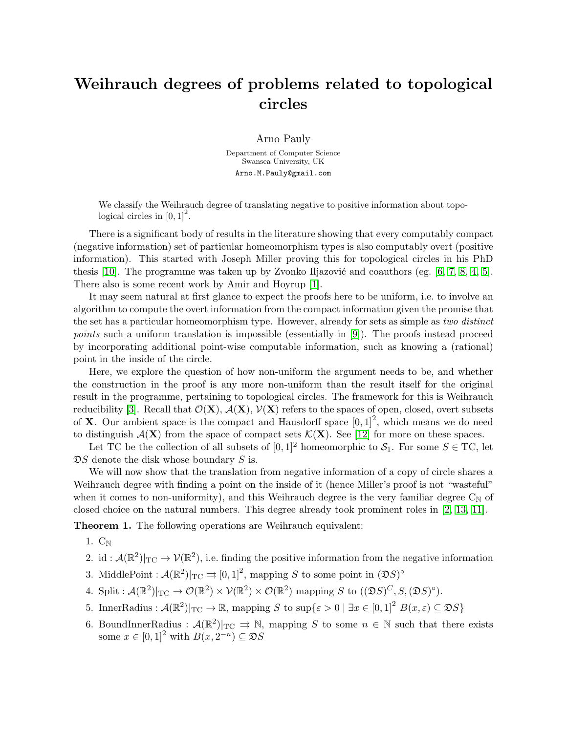## Weihrauch degrees of problems related to topological circles

Arno Pauly

Department of Computer Science Swansea University, UK Arno.M.Pauly@gmail.com

We classify the Weihrauch degree of translating negative to positive information about topological circles in  $[0, 1]^2$ .

There is a significant body of results in the literature showing that every computably compact (negative information) set of particular homeomorphism types is also computably overt (positive information). This started with Joseph Miller proving this for topological circles in his PhD thesis [\[10\]](#page-2-0). The programme was taken up by Zvonko Iljazović and coauthors (eg.  $[6, 7, 8, 4, 5]$  $[6, 7, 8, 4, 5]$  $[6, 7, 8, 4, 5]$  $[6, 7, 8, 4, 5]$  $[6, 7, 8, 4, 5]$ . There also is some recent work by Amir and Hoyrup [\[1\]](#page-2-6).

It may seem natural at first glance to expect the proofs here to be uniform, i.e. to involve an algorithm to compute the overt information from the compact information given the promise that the set has a particular homeomorphism type. However, already for sets as simple as two distinct points such a uniform translation is impossible (essentially in [\[9\]](#page-2-7)). The proofs instead proceed by incorporating additional point-wise computable information, such as knowing a (rational) point in the inside of the circle.

Here, we explore the question of how non-uniform the argument needs to be, and whether the construction in the proof is any more non-uniform than the result itself for the original result in the programme, pertaining to topological circles. The framework for this is Weihrauch reducibility [\[3\]](#page-2-8). Recall that  $\mathcal{O}(\mathbf{X}), \mathcal{A}(\mathbf{X}), \mathcal{V}(\mathbf{X})$  refers to the spaces of open, closed, overt subsets of **X**. Our ambient space is the compact and Hausdorff space  $[0, 1]^2$ , which means we do need to distinguish  $\mathcal{A}(\mathbf{X})$  from the space of compact sets  $\mathcal{K}(\mathbf{X})$ . See [\[12\]](#page-2-9) for more on these spaces.

Let TC be the collection of all subsets of  $[0, 1]^2$  homeomorphic to  $S_1$ . For some  $S \in TC$ , let  $\mathfrak{D}S$  denote the disk whose boundary S is.

We will now show that the translation from negative information of a copy of circle shares a Weihrauch degree with finding a point on the inside of it (hence Miller's proof is not "wasteful" when it comes to non-uniformity), and this Weihrauch degree is the very familiar degree  $C_N$  of closed choice on the natural numbers. This degree already took prominent roles in [\[2,](#page-2-10) [13,](#page-2-11) [11\]](#page-2-12).

Theorem 1. The following operations are Weihrauch equivalent:

1.  $C_N$ 

- 2. id:  $\mathcal{A}(\mathbb{R}^2)|_{TC} \to \mathcal{V}(\mathbb{R}^2)$ , i.e. finding the positive information from the negative information
- 3. MiddlePoint :  $\mathcal{A}(\mathbb{R}^2)|_{\text{TC}} \rightrightarrows [0,1]^2$ , mapping S to some point in  $(\mathfrak{D}S)^\circ$
- 4. Split :  $\mathcal{A}(\mathbb{R}^2)|_{\text{TC}} \to \mathcal{O}(\mathbb{R}^2) \times \mathcal{V}(\mathbb{R}^2) \times \mathcal{O}(\mathbb{R}^2)$  mapping S to  $((\mathfrak{D}S)^C, S, (\mathfrak{D}S)^{\circ}).$
- 5. InnerRadius :  $\mathcal{A}(\mathbb{R}^2)|_{\text{TC}} \to \mathbb{R}$ , mapping S to sup $\{\varepsilon > 0 \mid \exists x \in [0,1]^2 B(x,\varepsilon) \subseteq \mathfrak{D}S\}$
- 6. BoundInnerRadius :  $\mathcal{A}(\mathbb{R}^2)|_{\text{TC}} \Rightarrow \mathbb{N}$ , mapping S to some  $n \in \mathbb{N}$  such that there exists some  $x \in [0,1]^2$  with  $B(x, 2^{-n}) \subseteq \mathfrak{D}S$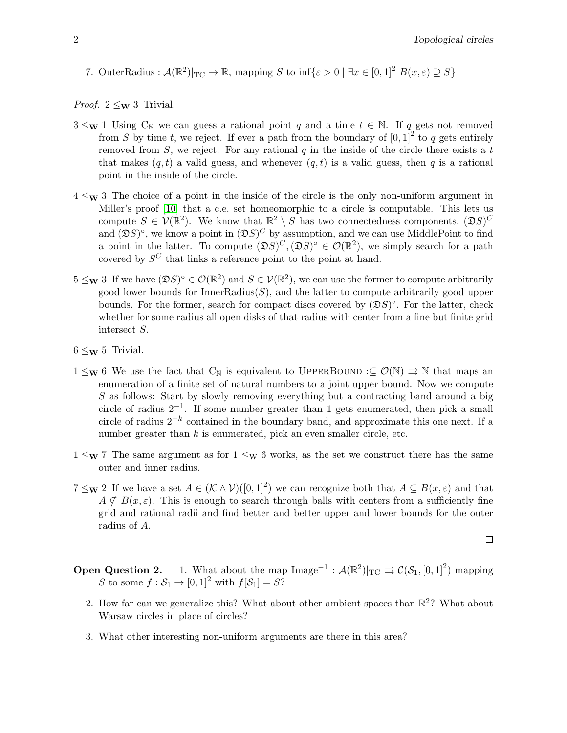7. OuterRadius :  $\mathcal{A}(\mathbb{R}^2)|_{\text{TC}} \to \mathbb{R}$ , mapping S to inf $\{\varepsilon > 0 \mid \exists x \in [0,1]^2 B(x,\varepsilon) \supseteq S\}$ 

*Proof.*  $2 \leq w 3$  Trivial.

- $3 \leq_{\mathbf{W}} 1$  Using  $C_{\mathbb{N}}$  we can guess a rational point q and a time  $t \in \mathbb{N}$ . If q gets not removed from S by time t, we reject. If ever a path from the boundary of  $[0,1]^2$  to q gets entirely removed from  $S$ , we reject. For any rational  $q$  in the inside of the circle there exists a t that makes  $(q, t)$  a valid guess, and whenever  $(q, t)$  is a valid guess, then q is a rational point in the inside of the circle.
- $4 \leq_{\mathbf{W}} 3$  The choice of a point in the inside of the circle is the only non-uniform argument in Miller's proof [\[10\]](#page-2-0) that a c.e. set homeomorphic to a circle is computable. This lets us compute  $S \in V(\mathbb{R}^2)$ . We know that  $\mathbb{R}^2 \setminus S$  has two connectedness components,  $(\mathfrak{D}S)^C$ and  $(\mathfrak{D}S)^{\circ}$ , we know a point in  $(\mathfrak{D}S)^{C}$  by assumption, and we can use MiddlePoint to find a point in the latter. To compute  $(\mathfrak{D} S)^C, (\mathfrak{D} S)^{\circ} \in \mathcal{O}(\mathbb{R}^2)$ , we simply search for a path covered by  $S^C$  that links a reference point to the point at hand.
- $5 \leq_{\mathbf{W}} 3$  If we have  $(\mathfrak{D} S)^{\circ} \in \mathcal{O}(\mathbb{R}^2)$  and  $S \in \mathcal{V}(\mathbb{R}^2)$ , we can use the former to compute arbitrarily good lower bounds for  $InnerRadius(S)$ , and the latter to compute arbitrarily good upper bounds. For the former, search for compact discs covered by  $(\mathfrak{D}S)^\circ$ . For the latter, check whether for some radius all open disks of that radius with center from a fine but finite grid intersect S.
- $6 \leq_{\mathbf{W}} 5$  Trivial.
- $1 \leq_{\mathbf{W}} 6$  We use the fact that  $C_{\mathbb{N}}$  is equivalent to UPPERBOUND : $\subseteq \mathcal{O}(\mathbb{N}) \Rightarrow \mathbb{N}$  that maps an enumeration of a finite set of natural numbers to a joint upper bound. Now we compute S as follows: Start by slowly removing everything but a contracting band around a big circle of radius  $2^{-1}$ . If some number greater than 1 gets enumerated, then pick a small circle of radius  $2^{-k}$  contained in the boundary band, and approximate this one next. If a number greater than  $k$  is enumerated, pick an even smaller circle, etc.
- $1 \leq_{\mathbf{W}} 7$  The same argument as for  $1 \leq_{\mathbf{W}} 6$  works, as the set we construct there has the same outer and inner radius.
- $7 \leq w$  2 If we have a set  $A \in (\mathcal{K} \wedge \mathcal{V})([0,1]^2)$  we can recognize both that  $A \subseteq B(x,\varepsilon)$  and that  $A \nsubseteq \overline{B}(x,\varepsilon)$ . This is enough to search through balls with centers from a sufficiently fine grid and rational radii and find better and better upper and lower bounds for the outer radius of A.

$$
\qquad \qquad \Box
$$

- **Open Question 2.** 1. What about the map  $\text{Image}^{-1} : \mathcal{A}(\mathbb{R}^2)|_{\text{TC}} \rightrightarrows \mathcal{C}(\mathcal{S}_1, [0, 1]^2)$  mapping **Question 2.** I. What about the map <br>S to some  $f : \mathcal{S}_1 \to [0,1]^2$  with  $f[\mathcal{S}_1] = S$ ?
	- 2. How far can we generalize this? What about other ambient spaces than  $\mathbb{R}^2$ ? What about Warsaw circles in place of circles?
	- 3. What other interesting non-uniform arguments are there in this area?